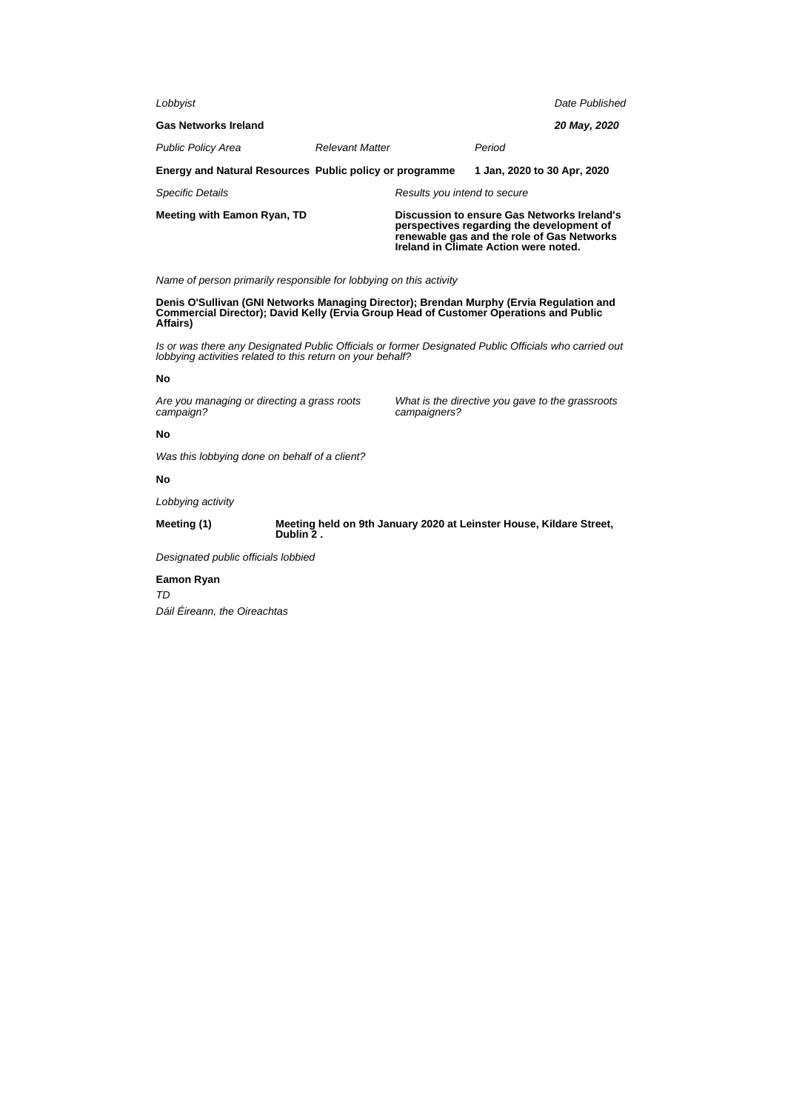| Meeting with Eamon Ryan, TD                                    |                        | Discussion to ensure Gas Networks Ireland's<br>perspectives regarding the development of<br>renewable gas and the role of Gas Networks<br>Ireland in Climate Action were noted. |                             |                |
|----------------------------------------------------------------|------------------------|---------------------------------------------------------------------------------------------------------------------------------------------------------------------------------|-----------------------------|----------------|
| <b>Specific Details</b>                                        |                        | Results you intend to secure                                                                                                                                                    |                             |                |
| <b>Energy and Natural Resources Public policy or programme</b> |                        |                                                                                                                                                                                 | 1 Jan, 2020 to 30 Apr, 2020 |                |
| <b>Public Policy Area</b>                                      | <b>Relevant Matter</b> |                                                                                                                                                                                 | Period                      |                |
| <b>Gas Networks Ireland</b>                                    |                        |                                                                                                                                                                                 |                             | 20 May, 2020   |
| Lobbyist                                                       |                        |                                                                                                                                                                                 |                             | Date Published |
|                                                                |                        |                                                                                                                                                                                 |                             |                |

Name of person primarily responsible for lobbying on this activity

**Denis O'Sullivan (GNI Networks Managing Director); Brendan Murphy (Ervia Regulation and Commercial Director); David Kelly (Ervia Group Head of Customer Operations and Public Affairs)**

Is or was there any Designated Public Officials or former Designated Public Officials who carried out lobbying activities related to this return on your behalf?

### **No**

Are you managing or directing a grass roots campaign?

What is the directive you gave to the grassroots campaigners?

# **No**

Was this lobbying done on behalf of a client?

# **No**

Lobbying activity

**Meeting (1) Meeting held on 9th January 2020 at Leinster House, Kildare Street, Dublin 2 .**

Designated public officials lobbied

## **Eamon Ryan**

TD

Dáil Éireann, the Oireachtas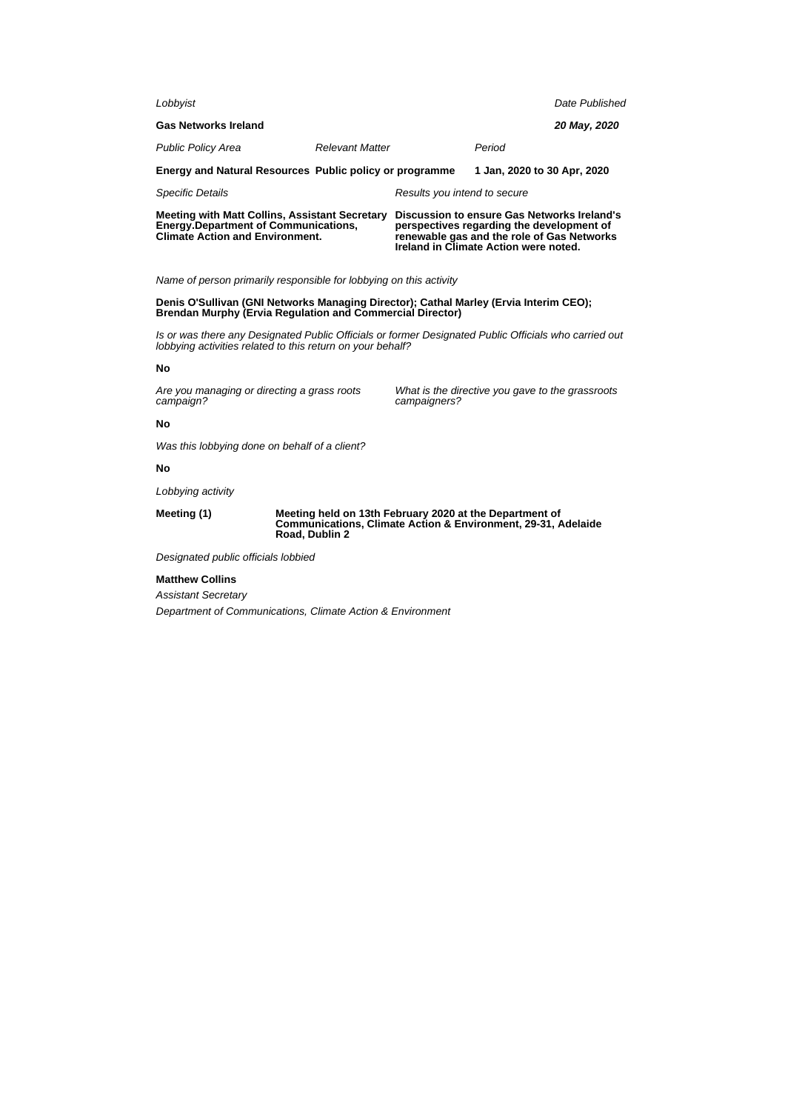| Lobbyist                                                                                                                                                  |                        |                                                                                                                                                                                 |                             | Date Published |  |  |  |
|-----------------------------------------------------------------------------------------------------------------------------------------------------------|------------------------|---------------------------------------------------------------------------------------------------------------------------------------------------------------------------------|-----------------------------|----------------|--|--|--|
| <b>Gas Networks Ireland</b>                                                                                                                               |                        |                                                                                                                                                                                 |                             | 20 May, 2020   |  |  |  |
| <b>Public Policy Area</b>                                                                                                                                 | <b>Relevant Matter</b> |                                                                                                                                                                                 | Period                      |                |  |  |  |
| Energy and Natural Resources Public policy or programme                                                                                                   |                        |                                                                                                                                                                                 | 1 Jan, 2020 to 30 Apr, 2020 |                |  |  |  |
| <b>Specific Details</b>                                                                                                                                   |                        | Results you intend to secure                                                                                                                                                    |                             |                |  |  |  |
| <b>Meeting with Matt Collins, Assistant Secretary</b><br><b>Energy.Department of Communications,</b><br><b>Climate Action and Environment.</b>            |                        | Discussion to ensure Gas Networks Ireland's<br>perspectives regarding the development of<br>renewable gas and the role of Gas Networks<br>Ireland in Climate Action were noted. |                             |                |  |  |  |
| Name of person primarily responsible for lobbying on this activity                                                                                        |                        |                                                                                                                                                                                 |                             |                |  |  |  |
| Denis O'Sullivan (GNI Networks Managing Director); Cathal Marley (Ervia Interim CEO);<br><b>Brendan Murphy (Ervia Regulation and Commercial Director)</b> |                        |                                                                                                                                                                                 |                             |                |  |  |  |

Is or was there any Designated Public Officials or former Designated Public Officials who carried out lobbying activities related to this return on your behalf?

# **No**

Are you managing or directing a grass roots campaign?

What is the directive you gave to the grassroots campaigners?

# **No**

Was this lobbying done on behalf of a client?

# **No**

Lobbying activity

**Meeting (1) Meeting held on 13th February 2020 at the Department of Communications, Climate Action & Environment, 29-31, Adelaide Road, Dublin 2**

Designated public officials lobbied

## **Matthew Collins**

Assistant Secretary

Department of Communications, Climate Action & Environment